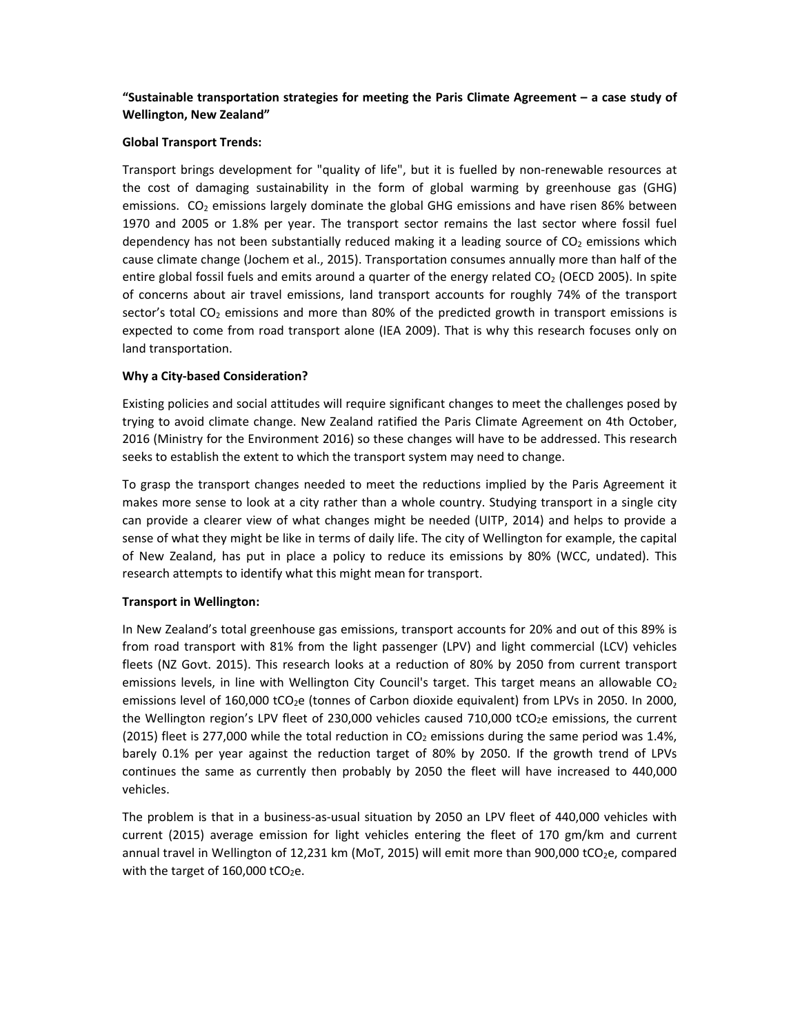# **"Sustainable transportation strategies for meeting the Paris Climate Agreement – a case study of Wellington, New Zealand"**

## **Global Transport Trends:**

Transport brings development for "quality of life", but it is fuelled by non-renewable resources at the cost of damaging sustainability in the form of global warming by greenhouse gas (GHG) emissions.  $CO<sub>2</sub>$  emissions largely dominate the global GHG emissions and have risen 86% between 1970 and 2005 or 1.8% per year. The transport sector remains the last sector where fossil fuel dependency has not been substantially reduced making it a leading source of  $CO<sub>2</sub>$  emissions which cause climate change (Jochem et al., 2015). Transportation consumes annually more than half of the entire global fossil fuels and emits around a quarter of the energy related  $CO<sub>2</sub>$  (OECD 2005). In spite of concerns about air travel emissions, land transport accounts for roughly 74% of the transport sector's total  $CO<sub>2</sub>$  emissions and more than 80% of the predicted growth in transport emissions is expected to come from road transport alone (IEA 2009). That is why this research focuses only on land transportation.

## **Why a City‐based Consideration?**

Existing policies and social attitudes will require significant changes to meet the challenges posed by trying to avoid climate change. New Zealand ratified the Paris Climate Agreement on 4th October, 2016 (Ministry for the Environment 2016) so these changes will have to be addressed. This research seeks to establish the extent to which the transport system may need to change.

To grasp the transport changes needed to meet the reductions implied by the Paris Agreement it makes more sense to look at a city rather than a whole country. Studying transport in a single city can provide a clearer view of what changes might be needed (UITP, 2014) and helps to provide a sense of what they might be like in terms of daily life. The city of Wellington for example, the capital of New Zealand, has put in place a policy to reduce its emissions by 80% (WCC, undated). This research attempts to identify what this might mean for transport.

## **Transport in Wellington:**

In New Zealand's total greenhouse gas emissions, transport accounts for 20% and out of this 89% is from road transport with 81% from the light passenger (LPV) and light commercial (LCV) vehicles fleets (NZ Govt. 2015). This research looks at a reduction of 80% by 2050 from current transport emissions levels, in line with Wellington City Council's target. This target means an allowable  $CO<sub>2</sub>$ emissions level of 160,000 tCO<sub>2</sub>e (tonnes of Carbon dioxide equivalent) from LPVs in 2050. In 2000, the Wellington region's LPV fleet of 230,000 vehicles caused 710,000  $tCO_2e$  emissions, the current (2015) fleet is 277,000 while the total reduction in  $CO<sub>2</sub>$  emissions during the same period was 1.4%, barely 0.1% per year against the reduction target of 80% by 2050. If the growth trend of LPVs continues the same as currently then probably by 2050 the fleet will have increased to 440,000 vehicles.

The problem is that in a business-as-usual situation by 2050 an LPV fleet of 440,000 vehicles with current (2015) average emission for light vehicles entering the fleet of 170 gm/km and current annual travel in Wellington of 12,231 km (MoT, 2015) will emit more than 900,000 tCO<sub>2</sub>e, compared with the target of  $160,000$  tCO<sub>2</sub>e.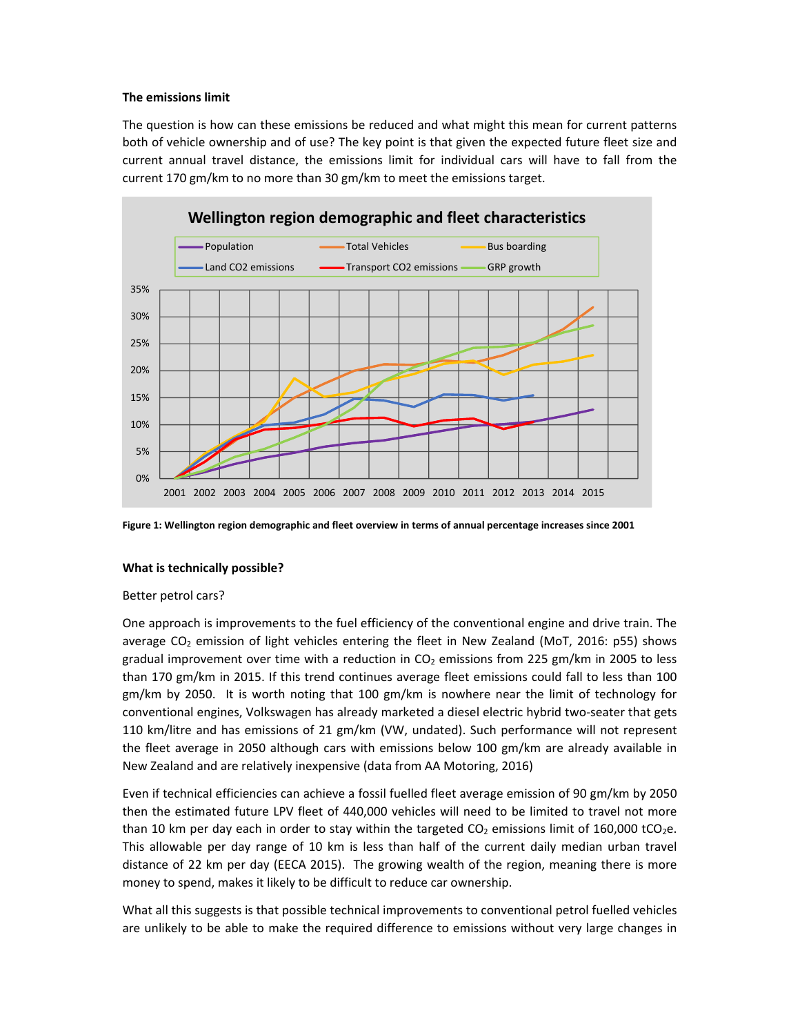### **The emissions limit**

The question is how can these emissions be reduced and what might this mean for current patterns both of vehicle ownership and of use? The key point is that given the expected future fleet size and current annual travel distance, the emissions limit for individual cars will have to fall from the current 170 gm/km to no more than 30 gm/km to meet the emissions target.



**Figure 1: Wellington region demographic and fleet overview in terms of annual percentage increases since 2001** 

## **What is technically possible?**

### Better petrol cars?

One approach is improvements to the fuel efficiency of the conventional engine and drive train. The average CO<sub>2</sub> emission of light vehicles entering the fleet in New Zealand (MoT, 2016: p55) shows gradual improvement over time with a reduction in  $CO<sub>2</sub>$  emissions from 225 gm/km in 2005 to less than 170 gm/km in 2015. If this trend continues average fleet emissions could fall to less than 100 gm/km by 2050. It is worth noting that 100 gm/km is nowhere near the limit of technology for conventional engines, Volkswagen has already marketed a diesel electric hybrid two‐seater that gets 110 km/litre and has emissions of 21 gm/km (VW, undated). Such performance will not represent the fleet average in 2050 although cars with emissions below 100 gm/km are already available in New Zealand and are relatively inexpensive (data from AA Motoring, 2016)

Even if technical efficiencies can achieve a fossil fuelled fleet average emission of 90 gm/km by 2050 then the estimated future LPV fleet of 440,000 vehicles will need to be limited to travel not more than 10 km per day each in order to stay within the targeted  $CO<sub>2</sub>$  emissions limit of 160,000 tCO<sub>2</sub>e. This allowable per day range of 10 km is less than half of the current daily median urban travel distance of 22 km per day (EECA 2015). The growing wealth of the region, meaning there is more money to spend, makes it likely to be difficult to reduce car ownership.

What all this suggests is that possible technical improvements to conventional petrol fuelled vehicles are unlikely to be able to make the required difference to emissions without very large changes in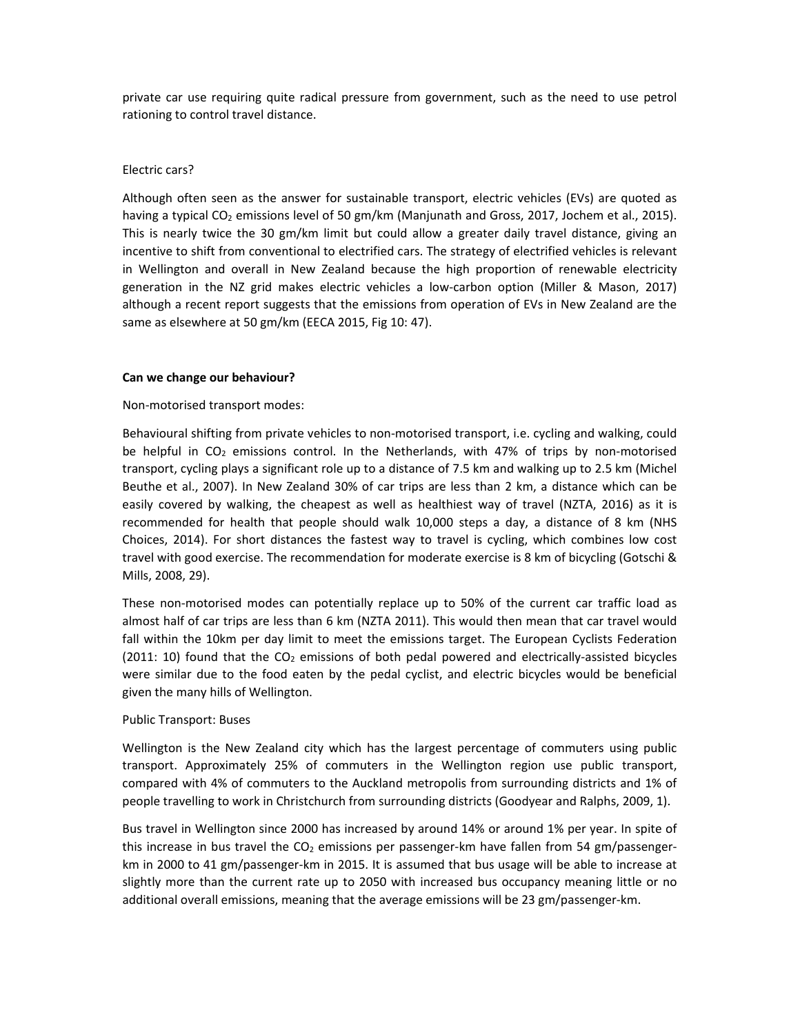private car use requiring quite radical pressure from government, such as the need to use petrol rationing to control travel distance.

#### Electric cars?

Although often seen as the answer for sustainable transport, electric vehicles (EVs) are quoted as having a typical CO<sub>2</sub> emissions level of 50 gm/km (Manjunath and Gross, 2017, Jochem et al., 2015). This is nearly twice the 30 gm/km limit but could allow a greater daily travel distance, giving an incentive to shift from conventional to electrified cars. The strategy of electrified vehicles is relevant in Wellington and overall in New Zealand because the high proportion of renewable electricity generation in the NZ grid makes electric vehicles a low-carbon option (Miller & Mason, 2017) although a recent report suggests that the emissions from operation of EVs in New Zealand are the same as elsewhere at 50 gm/km (EECA 2015, Fig 10: 47).

#### **Can we change our behaviour?**

### Non‐motorised transport modes:

Behavioural shifting from private vehicles to non‐motorised transport, i.e. cycling and walking, could be helpful in  $CO<sub>2</sub>$  emissions control. In the Netherlands, with 47% of trips by non-motorised transport, cycling plays a significant role up to a distance of 7.5 km and walking up to 2.5 km (Michel Beuthe et al., 2007). In New Zealand 30% of car trips are less than 2 km, a distance which can be easily covered by walking, the cheapest as well as healthiest way of travel (NZTA, 2016) as it is recommended for health that people should walk 10,000 steps a day, a distance of 8 km (NHS Choices, 2014). For short distances the fastest way to travel is cycling, which combines low cost travel with good exercise. The recommendation for moderate exercise is 8 km of bicycling (Gotschi & Mills, 2008, 29).

These non-motorised modes can potentially replace up to 50% of the current car traffic load as almost half of car trips are less than 6 km (NZTA 2011). This would then mean that car travel would fall within the 10km per day limit to meet the emissions target. The European Cyclists Federation  $(2011: 10)$  found that the  $CO<sub>2</sub>$  emissions of both pedal powered and electrically-assisted bicycles were similar due to the food eaten by the pedal cyclist, and electric bicycles would be beneficial given the many hills of Wellington.

#### Public Transport: Buses

Wellington is the New Zealand city which has the largest percentage of commuters using public transport. Approximately 25% of commuters in the Wellington region use public transport, compared with 4% of commuters to the Auckland metropolis from surrounding districts and 1% of people travelling to work in Christchurch from surrounding districts (Goodyear and Ralphs, 2009, 1).

Bus travel in Wellington since 2000 has increased by around 14% or around 1% per year. In spite of this increase in bus travel the  $CO<sub>2</sub>$  emissions per passenger-km have fallen from 54 gm/passengerkm in 2000 to 41 gm/passenger-km in 2015. It is assumed that bus usage will be able to increase at slightly more than the current rate up to 2050 with increased bus occupancy meaning little or no additional overall emissions, meaning that the average emissions will be 23 gm/passenger‐km.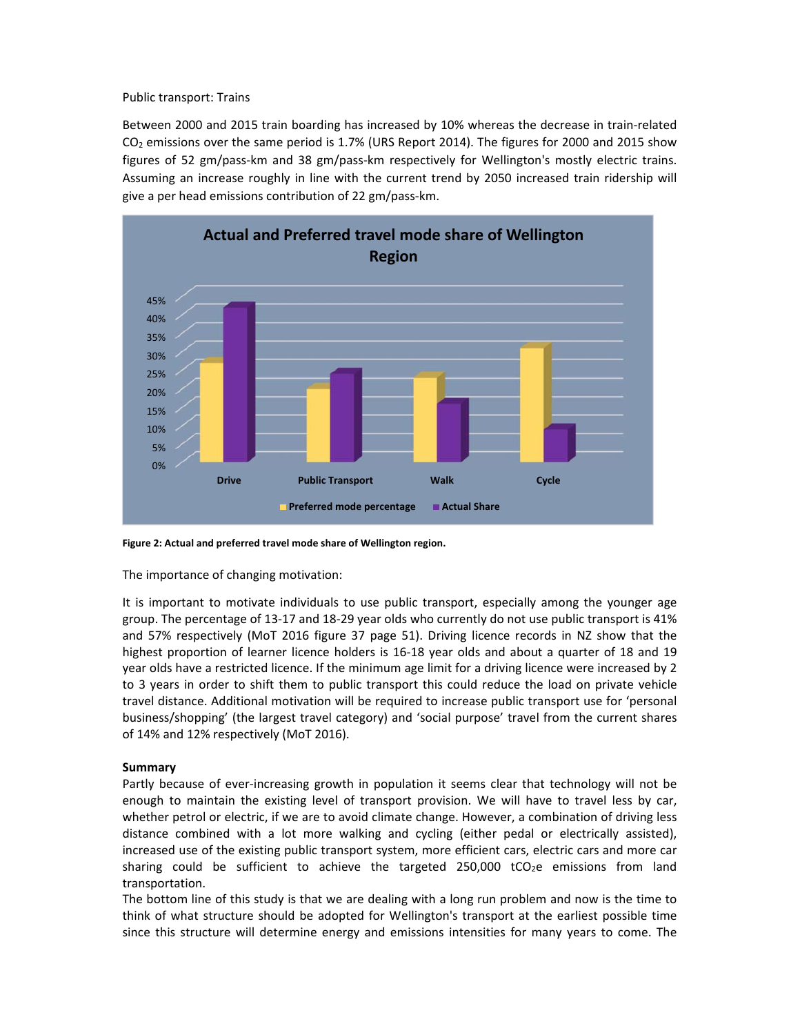Public transport: Trains

Between 2000 and 2015 train boarding has increased by 10% whereas the decrease in train‐related CO2 emissions over the same period is 1.7% (URS Report 2014). The figures for 2000 and 2015 show figures of 52 gm/pass-km and 38 gm/pass-km respectively for Wellington's mostly electric trains. Assuming an increase roughly in line with the current trend by 2050 increased train ridership will give a per head emissions contribution of 22 gm/pass‐km.



**Figure 2: Actual and preferred travel mode share of Wellington region.** 

The importance of changing motivation:

It is important to motivate individuals to use public transport, especially among the younger age group. The percentage of 13‐17 and 18‐29 year olds who currently do not use public transport is 41% and 57% respectively (MoT 2016 figure 37 page 51). Driving licence records in NZ show that the highest proportion of learner licence holders is 16-18 year olds and about a quarter of 18 and 19 year olds have a restricted licence. If the minimum age limit for a driving licence were increased by 2 to 3 years in order to shift them to public transport this could reduce the load on private vehicle travel distance. Additional motivation will be required to increase public transport use for 'personal business/shopping' (the largest travel category) and 'social purpose' travel from the current shares of 14% and 12% respectively (MoT 2016).

## **Summary**

Partly because of ever-increasing growth in population it seems clear that technology will not be enough to maintain the existing level of transport provision. We will have to travel less by car, whether petrol or electric, if we are to avoid climate change. However, a combination of driving less distance combined with a lot more walking and cycling (either pedal or electrically assisted), increased use of the existing public transport system, more efficient cars, electric cars and more car sharing could be sufficient to achieve the targeted  $250,000$  tCO<sub>2</sub>e emissions from land transportation.

The bottom line of this study is that we are dealing with a long run problem and now is the time to think of what structure should be adopted for Wellington's transport at the earliest possible time since this structure will determine energy and emissions intensities for many years to come. The